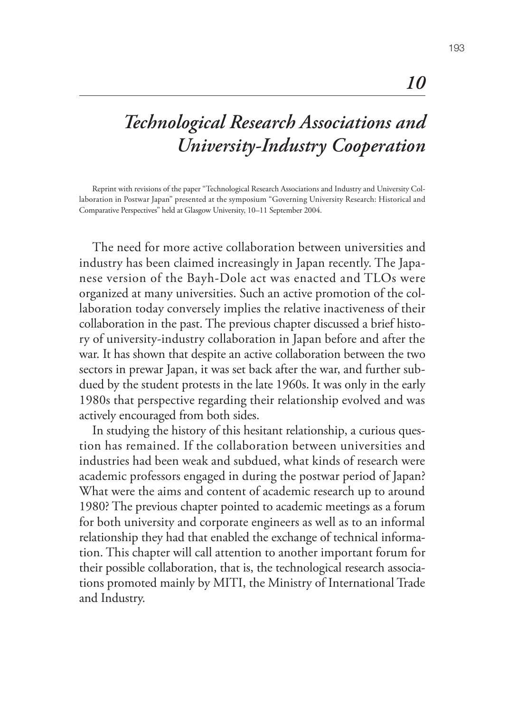## *Technological Research Associations and University-Industry Cooperation*

Reprint with revisions of the paper "Technological Research Associations and Industry and University Collaboration in Postwar Japan" presented at the symposium "Governing University Research: Historical and Comparative Perspectives" held at Glasgow University, 10–11 September 2004.

The need for more active collaboration between universities and industry has been claimed increasingly in Japan recently. The Japanese version of the Bayh-Dole act was enacted and TLOs were organized at many universities. Such an active promotion of the collaboration today conversely implies the relative inactiveness of their collaboration in the past. The previous chapter discussed a brief history of university-industry collaboration in Japan before and after the war. It has shown that despite an active collaboration between the two sectors in prewar Japan, it was set back after the war, and further subdued by the student protests in the late 1960s. It was only in the early 1980s that perspective regarding their relationship evolved and was actively encouraged from both sides.

In studying the history of this hesitant relationship, a curious question has remained. If the collaboration between universities and industries had been weak and subdued, what kinds of research were academic professors engaged in during the postwar period of Japan? What were the aims and content of academic research up to around 1980? The previous chapter pointed to academic meetings as a forum for both university and corporate engineers as well as to an informal relationship they had that enabled the exchange of technical information. This chapter will call attention to another important forum for their possible collaboration, that is, the technological research associations promoted mainly by MITI, the Ministry of International Trade and Industry.

*10*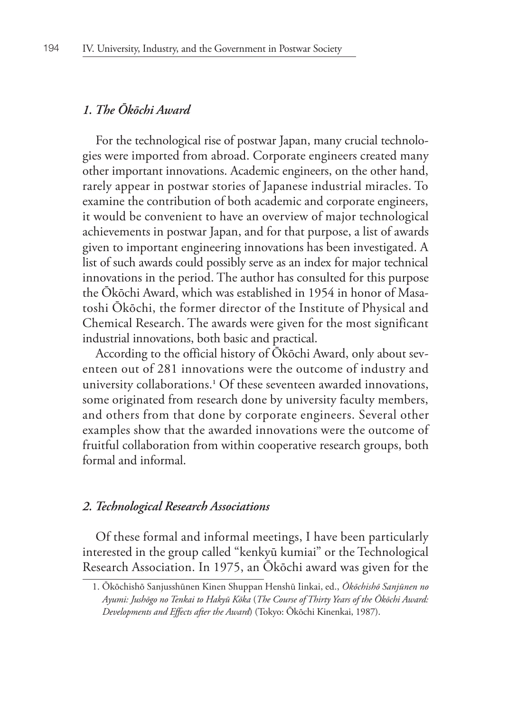## *1. The Ōkōchi Award*

For the technological rise of postwar Japan, many crucial technologies were imported from abroad. Corporate engineers created many other important innovations. Academic engineers, on the other hand, rarely appear in postwar stories of Japanese industrial miracles. To examine the contribution of both academic and corporate engineers, it would be convenient to have an overview of major technological achievements in postwar Japan, and for that purpose, a list of awards given to important engineering innovations has been investigated. A list of such awards could possibly serve as an index for major technical innovations in the period. The author has consulted for this purpose the Ōkōchi Award, which was established in 1954 in honor of Masatoshi Ōkōchi, the former director of the Institute of Physical and Chemical Research. The awards were given for the most significant industrial innovations, both basic and practical.

According to the official history of Ōkōchi Award, only about seventeen out of 281 innovations were the outcome of industry and university collaborations.**<sup>1</sup>** Of these seventeen awarded innovations, some originated from research done by university faculty members, and others from that done by corporate engineers. Several other examples show that the awarded innovations were the outcome of fruitful collaboration from within cooperative research groups, both formal and informal.

## *2. Technological Research Associations*

Of these formal and informal meetings, I have been particularly interested in the group called "kenkyū kumiai" or the Technological Research Association. In 1975, an Ōkōchi award was given for the

<sup>1.</sup> Ōkōchishō Sanjusshūnen Kinen Shuppan Henshū Iinkai, ed., *Ōkōchishō Sanjūnen no Ayumi: Jushōgo no Tenkai to Hakyū Kōka* (*The Course of Thirty Years of the Ōkōchi Award: Developments and Effects after the Award*) (Tokyo: Ōkōchi Kinenkai, 1987).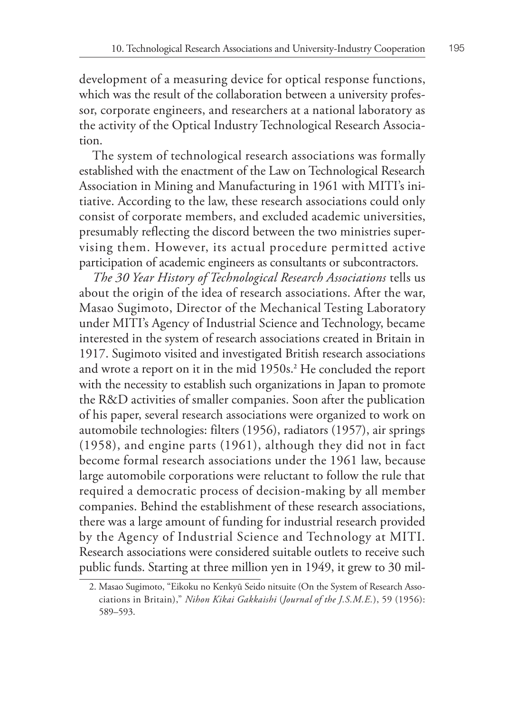development of a measuring device for optical response functions, which was the result of the collaboration between a university professor, corporate engineers, and researchers at a national laboratory as the activity of the Optical Industry Technological Research Association.

The system of technological research associations was formally established with the enactment of the Law on Technological Research Association in Mining and Manufacturing in 1961 with MITI's initiative. According to the law, these research associations could only consist of corporate members, and excluded academic universities, presumably reflecting the discord between the two ministries supervising them. However, its actual procedure permitted active participation of academic engineers as consultants or subcontractors.

*The 30 Year History of Technological Research Associations* tells us about the origin of the idea of research associations. After the war, Masao Sugimoto, Director of the Mechanical Testing Laboratory under MITI's Agency of Industrial Science and Technology, became interested in the system of research associations created in Britain in 1917. Sugimoto visited and investigated British research associations and wrote a report on it in the mid 1950s.**<sup>2</sup>** He concluded the report with the necessity to establish such organizations in Japan to promote the R&D activities of smaller companies. Soon after the publication of his paper, several research associations were organized to work on automobile technologies: filters (1956), radiators (1957), air springs (1958), and engine parts (1961), although they did not in fact become formal research associations under the 1961 law, because large automobile corporations were reluctant to follow the rule that required a democratic process of decision-making by all member companies. Behind the establishment of these research associations, there was a large amount of funding for industrial research provided by the Agency of Industrial Science and Technology at MITI. Research associations were considered suitable outlets to receive such public funds. Starting at three million yen in 1949, it grew to 30 mil-

<sup>2.</sup> Masao Sugimoto, "Eikoku no Kenkyū Seido nitsuite (On the System of Research Associations in Britain)," *Nihon Kikai Gakkaishi* (*Journal of the J.S.M.E.*), 59 (1956): 589–593.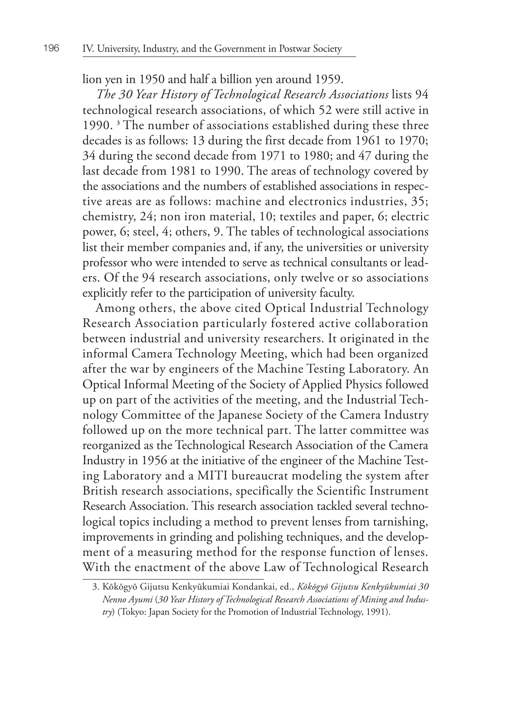lion yen in 1950 and half a billion yen around 1959.

*The 30 Year History of Technological Research Associations* lists 94 technological research associations, of which 52 were still active in 1990. **<sup>3</sup>** The number of associations established during these three decades is as follows: 13 during the first decade from 1961 to 1970; 34 during the second decade from 1971 to 1980; and 47 during the last decade from 1981 to 1990. The areas of technology covered by the associations and the numbers of established associations in respective areas are as follows: machine and electronics industries, 35; chemistry, 24; non iron material, 10; textiles and paper, 6; electric power, 6; steel, 4; others, 9. The tables of technological associations list their member companies and, if any, the universities or university professor who were intended to serve as technical consultants or leaders. Of the 94 research associations, only twelve or so associations explicitly refer to the participation of university faculty.

Among others, the above cited Optical Industrial Technology Research Association particularly fostered active collaboration between industrial and university researchers. It originated in the informal Camera Technology Meeting, which had been organized after the war by engineers of the Machine Testing Laboratory. An Optical Informal Meeting of the Society of Applied Physics followed up on part of the activities of the meeting, and the Industrial Technology Committee of the Japanese Society of the Camera Industry followed up on the more technical part. The latter committee was reorganized as the Technological Research Association of the Camera Industry in 1956 at the initiative of the engineer of the Machine Testing Laboratory and a MITI bureaucrat modeling the system after British research associations, specifically the Scientific Instrument Research Association. This research association tackled several technological topics including a method to prevent lenses from tarnishing, improvements in grinding and polishing techniques, and the development of a measuring method for the response function of lenses. With the enactment of the above Law of Technological Research

<sup>3.</sup> Kōkōgyō Gijutsu Kenkyūkumiai Kondankai, ed., *Kōkōgyō Gijutsu Kenkyūkumiai 30 Nenno Ayumi* (*30 Year History of Technological Research Associations of Mining and Industry*) (Tokyo: Japan Society for the Promotion of Industrial Technology, 1991).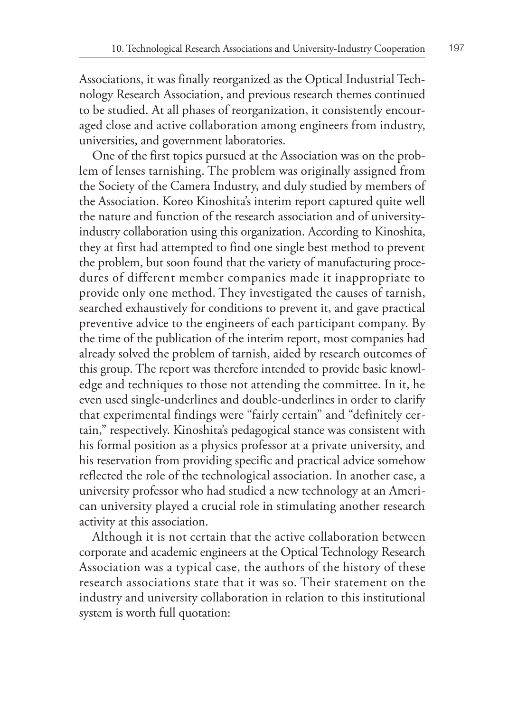Associations, it was finally reorganized as the Optical Industrial Technology Research Association, and previous research themes continued to be studied. At all phases of reorganization, it consistently encouraged close and active collaboration among engineers from industry, universities, and government laboratories.

One of the first topics pursued at the Association was on the problem of lenses tarnishing. The problem was originally assigned from the Society of the Camera Industry, and duly studied by members of the Association. Koreo Kinoshita's interim report captured quite well the nature and function of the research association and of universityindustry collaboration using this organization. According to Kinoshita, they at first had attempted to find one single best method to prevent the problem, but soon found that the variety of manufacturing procedures of different member companies made it inappropriate to provide only one method. They investigated the causes of tarnish, searched exhaustively for conditions to prevent it, and gave practical preventive advice to the engineers of each participant company. By the time of the publication of the interim report, most companies had already solved the problem of tarnish, aided by research outcomes of this group. The report was therefore intended to provide basic knowledge and techniques to those not attending the committee. In it, he even used single-underlines and double-underlines in order to clarify that experimental findings were "fairly certain" and "definitely certain," respectively. Kinoshita's pedagogical stance was consistent with his formal position as a physics professor at a private university, and his reservation from providing specific and practical advice somehow reflected the role of the technological association. In another case, a university professor who had studied a new technology at an American university played a crucial role in stimulating another research activity at this association.

Although it is not certain that the active collaboration between corporate and academic engineers at the Optical Technology Research Association was a typical case, the authors of the history of these research associations state that it was so. Their statement on the industry and university collaboration in relation to this institutional system is worth full quotation: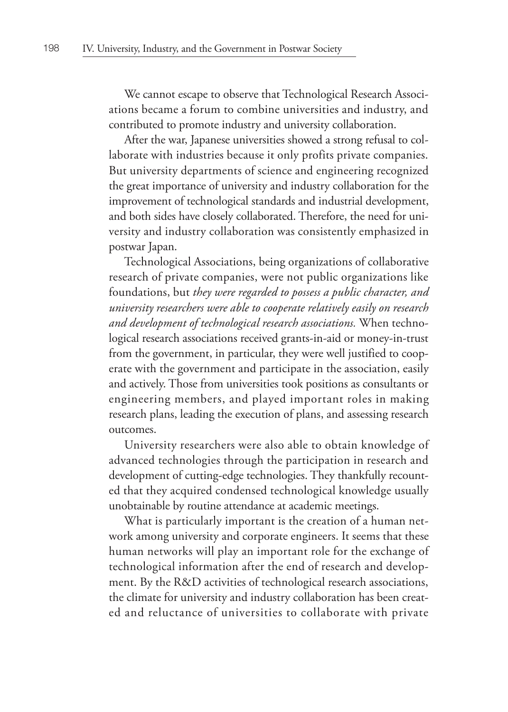We cannot escape to observe that Technological Research Associations became a forum to combine universities and industry, and contributed to promote industry and university collaboration.

After the war, Japanese universities showed a strong refusal to collaborate with industries because it only profits private companies. But university departments of science and engineering recognized the great importance of university and industry collaboration for the improvement of technological standards and industrial development, and both sides have closely collaborated. Therefore, the need for university and industry collaboration was consistently emphasized in postwar Japan.

Technological Associations, being organizations of collaborative research of private companies, were not public organizations like foundations, but *they were regarded to possess a public character, and university researchers were able to cooperate relatively easily on research and development of technological research associations.* When technological research associations received grants-in-aid or money-in-trust from the government, in particular, they were well justified to cooperate with the government and participate in the association, easily and actively. Those from universities took positions as consultants or engineering members, and played important roles in making research plans, leading the execution of plans, and assessing research outcomes.

University researchers were also able to obtain knowledge of advanced technologies through the participation in research and development of cutting-edge technologies. They thankfully recounted that they acquired condensed technological knowledge usually unobtainable by routine attendance at academic meetings.

What is particularly important is the creation of a human network among university and corporate engineers. It seems that these human networks will play an important role for the exchange of technological information after the end of research and development. By the R&D activities of technological research associations, the climate for university and industry collaboration has been created and reluctance of universities to collaborate with private